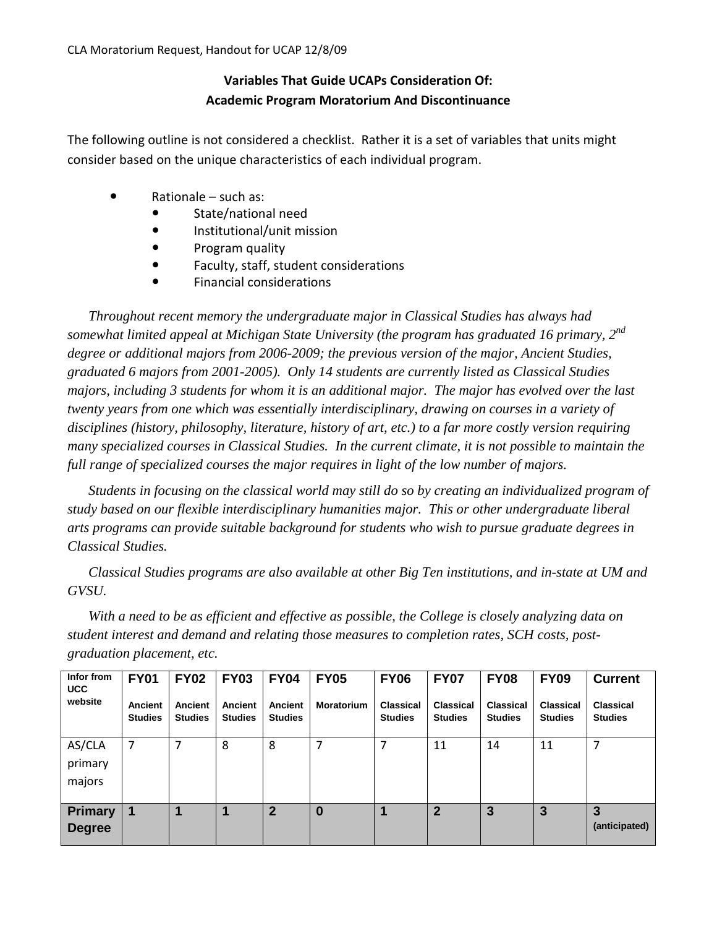## **Variables That Guide UCAPs Consideration Of: Academic Program Moratorium And Discontinuance**

The following outline is not considered a checklist. Rather it is a set of variables that units might consider based on the unique characteristics of each individual program.

- Rationale such as:
	- State/national need
	- **•** Institutional/unit mission
	- Program quality
	- Faculty, staff, student considerations
	- Financial considerations

*Throughout recent memory the undergraduate major in Classical Studies has always had somewhat limited appeal at Michigan State University (the program has graduated 16 primary, 2nd degree or additional majors from 2006-2009; the previous version of the major, Ancient Studies, graduated 6 majors from 2001-2005). Only 14 students are currently listed as Classical Studies majors, including 3 students for whom it is an additional major. The major has evolved over the last twenty years from one which was essentially interdisciplinary, drawing on courses in a variety of disciplines (history, philosophy, literature, history of art, etc.) to a far more costly version requiring many specialized courses in Classical Studies. In the current climate, it is not possible to maintain the full range of specialized courses the major requires in light of the low number of majors.*

*Students in focusing on the classical world may still do so by creating an individualized program of study based on our flexible interdisciplinary humanities major. This or other undergraduate liberal arts programs can provide suitable background for students who wish to pursue graduate degrees in Classical Studies.* 

*Classical Studies programs are also available at other Big Ten institutions, and in-state at UM and GVSU.* 

*With a need to be as efficient and effective as possible, the College is closely analyzing data on student interest and demand and relating those measures to completion rates, SCH costs, postgraduation placement, etc.* 

| Infor from<br><b>UCC</b>        | <b>FY01</b>               | <b>FY02</b>               | <b>FY03</b>               | <b>FY04</b>               | <b>FY05</b>       | <b>FY06</b>                 | <b>FY07</b>                 | <b>FY08</b>                 | <b>FY09</b>                        | <b>Current</b>              |
|---------------------------------|---------------------------|---------------------------|---------------------------|---------------------------|-------------------|-----------------------------|-----------------------------|-----------------------------|------------------------------------|-----------------------------|
| website                         | Ancient<br><b>Studies</b> | Ancient<br><b>Studies</b> | Ancient<br><b>Studies</b> | Ancient<br><b>Studies</b> | <b>Moratorium</b> | Classical<br><b>Studies</b> | Classical<br><b>Studies</b> | Classical<br><b>Studies</b> | <b>Classical</b><br><b>Studies</b> | Classical<br><b>Studies</b> |
| AS/CLA<br>primary<br>majors     | 7                         | 7                         | 8                         | 8                         | 7                 | 7                           | 11                          | 14                          | 11                                 |                             |
| <b>Primary</b><br><b>Degree</b> | 1                         |                           |                           | $\mathbf 2$               | 0                 |                             | 2                           | 3                           | 3                                  | 3<br>(anticipated)          |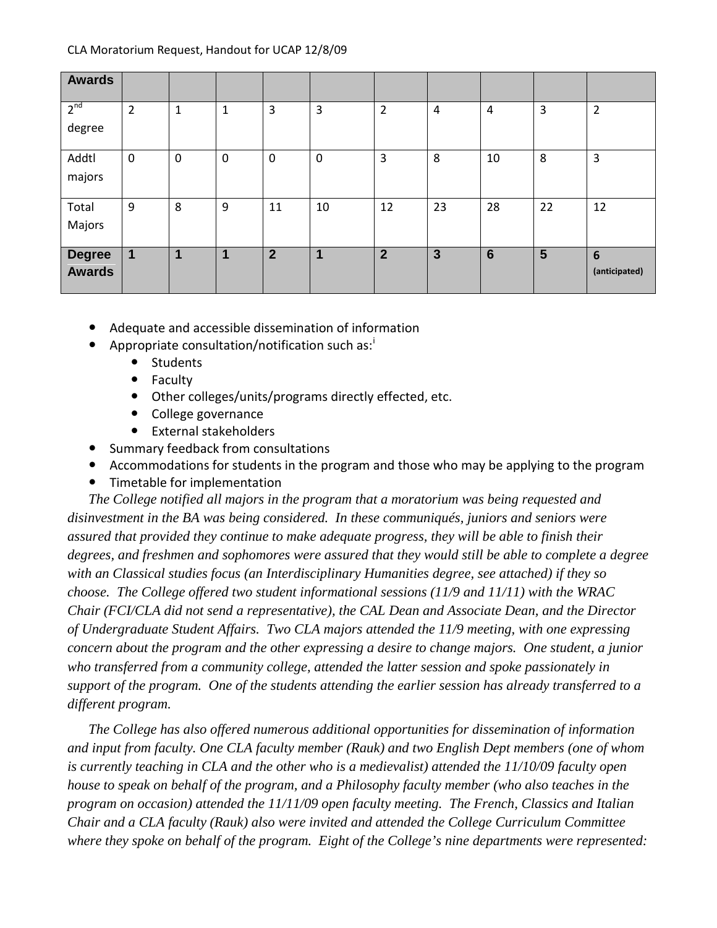| Awards                         |                |                |                  |                |                         |                |                |                 |    |                                  |
|--------------------------------|----------------|----------------|------------------|----------------|-------------------------|----------------|----------------|-----------------|----|----------------------------------|
| 2 <sup>nd</sup><br>degree      | $\overline{2}$ | 1              | $\mathbf{1}$     | 3              | 3                       | $\overline{2}$ | $\overline{4}$ | $\overline{4}$  | 3  | 2                                |
| Addtl<br>majors                | $\mathbf 0$    | $\overline{0}$ | $\boldsymbol{0}$ | $\mathbf 0$    | $\mathbf 0$             | 3              | 8              | 10              | 8  | 3                                |
| Total<br>Majors                | 9              | 8              | 9                | 11             | 10                      | 12             | 23             | 28              | 22 | 12                               |
| <b>Degree</b><br><b>Awards</b> | $\mathbf{1}$   | 1              | 1                | $\overline{2}$ | $\overline{\mathbf{1}}$ | $\overline{2}$ | 3              | $6\phantom{1}6$ | 5  | $6\phantom{1}6$<br>(anticipated) |

- Adequate and accessible dissemination of information
- Appropr[i](#page-6-0)ate consultation/notification such as: $\cdot$ 
	- **Students**
	- Faculty
	- Other colleges/units/programs directly effected, etc.
	- College governance
	- External stakeholders
- Summary feedback from consultations
- Accommodations for students in the program and those who may be applying to the program
- Timetable for implementation

*The College notified all majors in the program that a moratorium was being requested and disinvestment in the BA was being considered. In these communiqués, juniors and seniors were assured that provided they continue to make adequate progress, they will be able to finish their degrees, and freshmen and sophomores were assured that they would still be able to complete a degree with an Classical studies focus (an Interdisciplinary Humanities degree, see attached) if they so choose. The College offered two student informational sessions (11/9 and 11/11) with the WRAC Chair (FCI/CLA did not send a representative), the CAL Dean and Associate Dean, and the Director of Undergraduate Student Affairs. Two CLA majors attended the 11/9 meeting, with one expressing concern about the program and the other expressing a desire to change majors. One student, a junior who transferred from a community college, attended the latter session and spoke passionately in support of the program. One of the students attending the earlier session has already transferred to a different program.*

*The College has also offered numerous additional opportunities for dissemination of information and input from faculty. One CLA faculty member (Rauk) and two English Dept members (one of whom is currently teaching in CLA and the other who is a medievalist) attended the 11/10/09 faculty open house to speak on behalf of the program, and a Philosophy faculty member (who also teaches in the program on occasion) attended the 11/11/09 open faculty meeting. The French, Classics and Italian Chair and a CLA faculty (Rauk) also were invited and attended the College Curriculum Committee where they spoke on behalf of the program. Eight of the College's nine departments were represented:*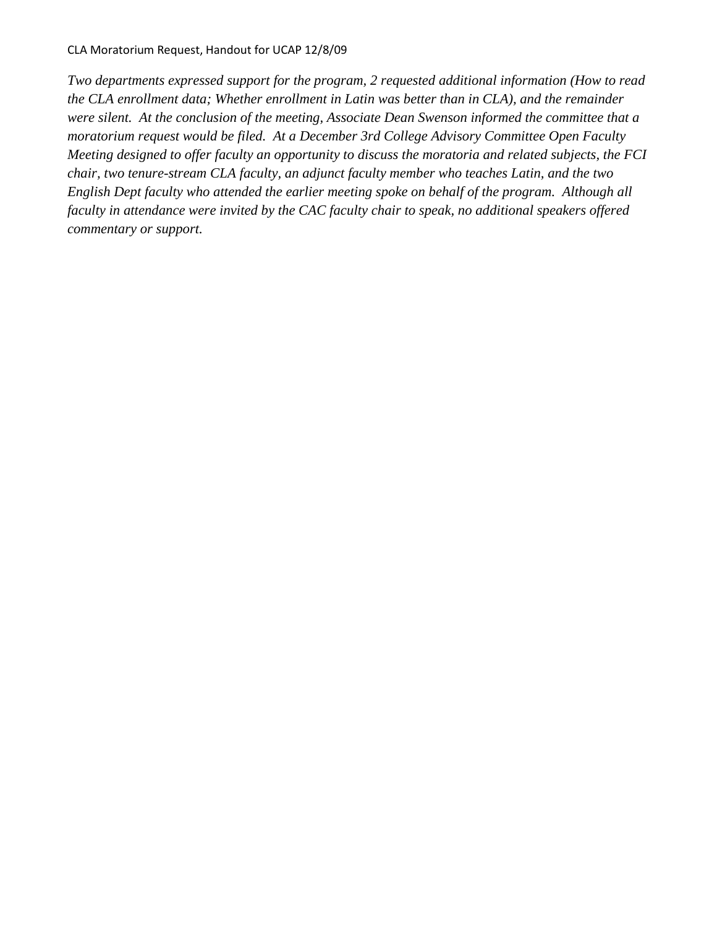*Two departments expressed support for the program, 2 requested additional information (How to read the CLA enrollment data; Whether enrollment in Latin was better than in CLA), and the remainder were silent. At the conclusion of the meeting, Associate Dean Swenson informed the committee that a moratorium request would be filed. At a December 3rd College Advisory Committee Open Faculty Meeting designed to offer faculty an opportunity to discuss the moratoria and related subjects, the FCI chair, two tenure-stream CLA faculty, an adjunct faculty member who teaches Latin, and the two English Dept faculty who attended the earlier meeting spoke on behalf of the program. Although all faculty in attendance were invited by the CAC faculty chair to speak, no additional speakers offered commentary or support.*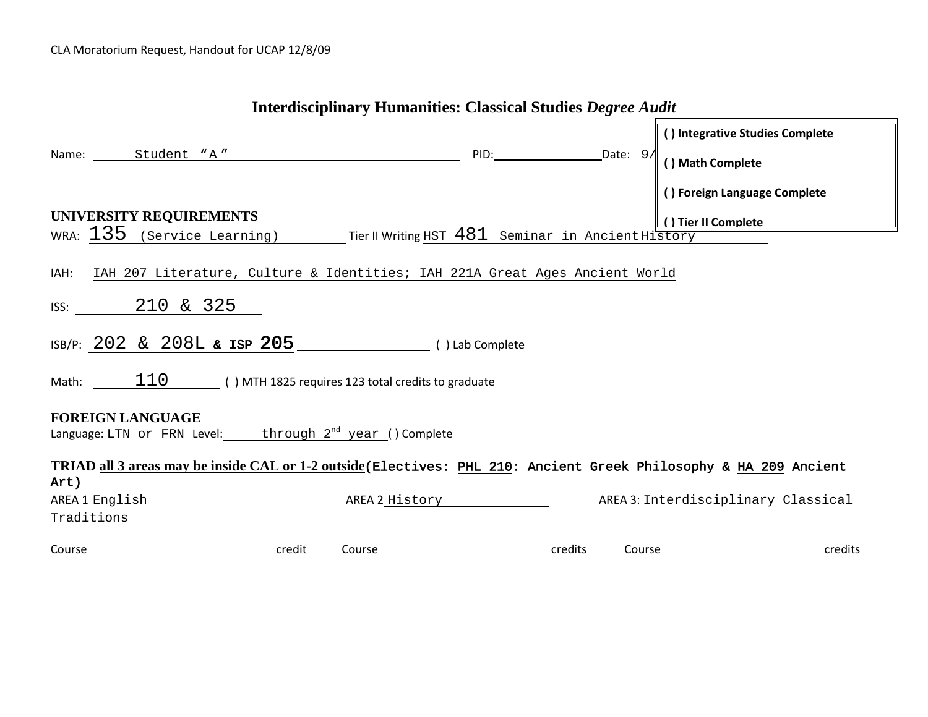|        |                                                                                          |        |                | Interdisciplinary Humanities: Classical Studies <i>Degree Audit</i> |         |        |                                                                                                                   |
|--------|------------------------------------------------------------------------------------------|--------|----------------|---------------------------------------------------------------------|---------|--------|-------------------------------------------------------------------------------------------------------------------|
|        | Name: Student "A"                                                                        |        |                | PID: Date: 9/                                                       |         |        | () Integrative Studies Complete<br>() Math Complete                                                               |
|        | UNIVERSITY REQUIREMENTS                                                                  |        |                |                                                                     |         |        | () Foreign Language Complete<br>() Tier II Complete                                                               |
|        | WRA: $135$ (Service Learning) Tier II Writing HST $481$ Seminar in Ancient History       |        |                |                                                                     |         |        |                                                                                                                   |
|        | IAH: IAH 207 Literature, Culture & Identities; IAH 221A Great Ages Ancient World         |        |                |                                                                     |         |        |                                                                                                                   |
|        | ISS: $210 \& 325$ 2000                                                                   |        |                |                                                                     |         |        |                                                                                                                   |
|        | Math: $110$ () MTH 1825 requires 123 total credits to graduate                           |        |                |                                                                     |         |        |                                                                                                                   |
|        | <b>FOREIGN LANGUAGE</b><br>Language: LTN or FRN Level: through $2^{nd}$ year () Complete |        |                |                                                                     |         |        |                                                                                                                   |
| Art)   |                                                                                          |        |                |                                                                     |         |        | TRIAD all 3 areas may be inside CAL or 1-2 outside (Electives: PHL 210: Ancient Greek Philosophy & HA 209 Ancient |
|        | AREA 1 English                                                                           |        | AREA 2 History |                                                                     |         |        | AREA 3: Interdisciplinary Classical                                                                               |
|        | Traditions                                                                               |        |                |                                                                     |         |        |                                                                                                                   |
| Course |                                                                                          | credit | Course         |                                                                     | credits | Course | credits                                                                                                           |

## **Interdisciplinary Humanities: Classical Studies** *Degree Audit*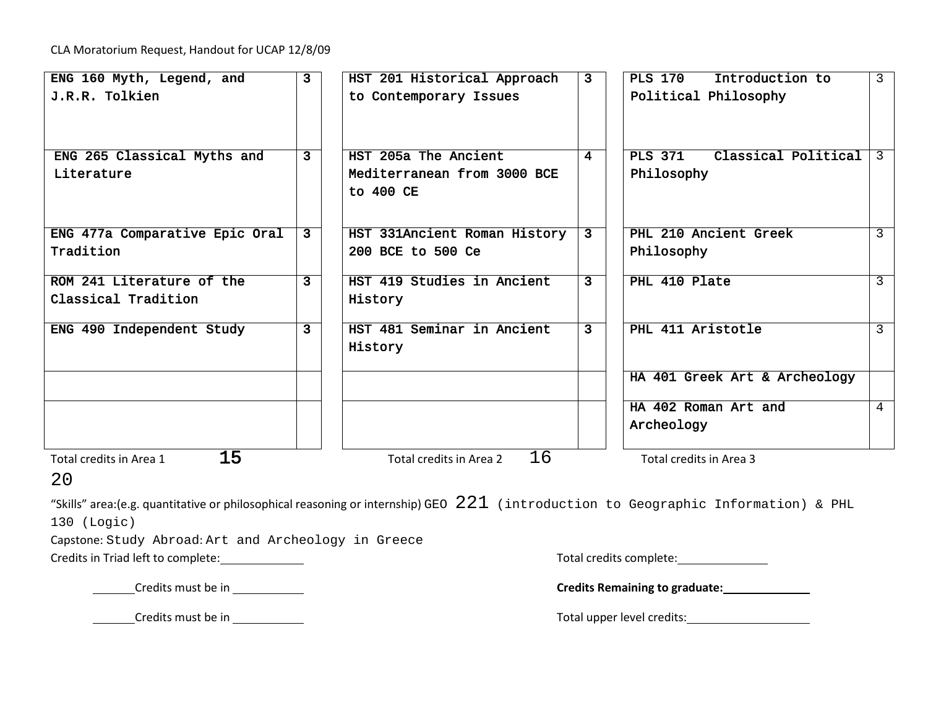CLA Moratorium Request, Handout for UCAP 12/8/09

| ENG 160 Myth, Legend, and                                                                                                               | $\mathbf{3}$   | HST 201 Historical Approach   | 3 <sup>1</sup> | <b>PLS 170</b><br>Introduction to     | $\mathsf{3}$   |
|-----------------------------------------------------------------------------------------------------------------------------------------|----------------|-------------------------------|----------------|---------------------------------------|----------------|
| J.R.R. Tolkien                                                                                                                          |                | to Contemporary Issues        |                | Political Philosophy                  |                |
|                                                                                                                                         |                |                               |                |                                       |                |
|                                                                                                                                         |                |                               |                |                                       |                |
| ENG 265 Classical Myths and                                                                                                             | $\overline{3}$ | HST 205a The Ancient          | $\overline{4}$ | <b>PLS 371</b><br>Classical Political | $\overline{3}$ |
| Literature                                                                                                                              |                | Mediterranean from 3000 BCE   |                | Philosophy                            |                |
|                                                                                                                                         |                | to 400 CE                     |                |                                       |                |
|                                                                                                                                         |                |                               |                |                                       |                |
| ENG 477a Comparative Epic Oral                                                                                                          | $\mathbf{3}$   | HST 331Ancient Roman History  | $\mathbf{3}$   | PHL 210 Ancient Greek                 | 3              |
| Tradition                                                                                                                               |                | 200 BCE to 500 Ce             |                | Philosophy                            |                |
|                                                                                                                                         |                |                               |                |                                       |                |
| ROM 241 Literature of the                                                                                                               | $\overline{3}$ | HST 419 Studies in Ancient    | $\mathbf{3}$   | PHL 410 Plate                         | 3              |
| Classical Tradition                                                                                                                     |                | History                       |                |                                       |                |
| ENG 490 Independent Study                                                                                                               | $\overline{3}$ | HST 481 Seminar in Ancient    | $\mathbf{3}$   | PHL 411 Aristotle                     | 3              |
|                                                                                                                                         |                | History                       |                |                                       |                |
|                                                                                                                                         |                |                               |                |                                       |                |
|                                                                                                                                         |                |                               |                | HA 401 Greek Art & Archeology         |                |
|                                                                                                                                         |                |                               |                | HA 402 Roman Art and                  | 4              |
|                                                                                                                                         |                |                               |                | Archeology                            |                |
|                                                                                                                                         |                |                               |                |                                       |                |
| 15<br>Total credits in Area 1                                                                                                           |                | 16<br>Total credits in Area 2 |                | Total credits in Area 3               |                |
| 20                                                                                                                                      |                |                               |                |                                       |                |
| "Skills" area:(e.g. quantitative or philosophical reasoning or internship) GEO $\ 221\,$ (introduction to Geographic Information) & PHL |                |                               |                |                                       |                |
| 130 (Logic)                                                                                                                             |                |                               |                |                                       |                |
| 그 그는 그 사람들은 그 사람들은 그 사람들을 지르는 것이 없다.                                                                                                    |                |                               |                |                                       |                |

Capstone: Study Abroad: Art and Archeology in Greece

Credits in Triad left to complete: \_\_\_\_\_\_\_\_\_\_\_\_\_\_

| Total credits complete: |
|-------------------------|
|-------------------------|

Credits must be in **Credits Remaining to graduate:**

Credits must be in Total upper level credits: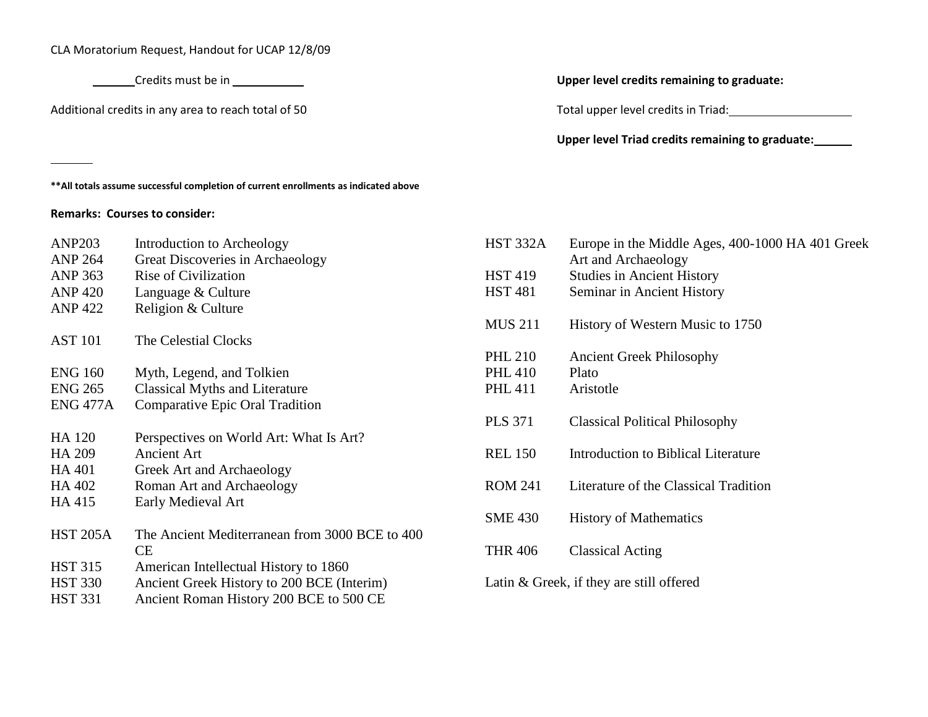CLA Moratorium Request, Handout for UCAP 12/8/09

Additional credits in any area to reach total of 50 Total upper level credits in Triad:

## Credits must be in **Upper level credits remaining to graduate:**

**Upper level Triad credits remaining to graduate:**

**\*\*All totals assume successful completion of current enrollments as indicated above**

## **Remarks: Courses to consider:**

| <b>ANP203</b>   | Introduction to Archeology                     | <b>HST 332A</b> |
|-----------------|------------------------------------------------|-----------------|
| <b>ANP 264</b>  | Great Discoveries in Archaeology               |                 |
| <b>ANP 363</b>  | <b>Rise of Civilization</b>                    | <b>HST 419</b>  |
| <b>ANP 420</b>  | Language & Culture                             | <b>HST 481</b>  |
| <b>ANP 422</b>  | Religion & Culture                             |                 |
|                 |                                                | <b>MUS 211</b>  |
| <b>AST 101</b>  | The Celestial Clocks                           |                 |
|                 |                                                | <b>PHL 210</b>  |
| <b>ENG 160</b>  | Myth, Legend, and Tolkien                      | <b>PHL 410</b>  |
| <b>ENG 265</b>  | <b>Classical Myths and Literature</b>          | <b>PHL 411</b>  |
| <b>ENG 477A</b> | <b>Comparative Epic Oral Tradition</b>         |                 |
|                 |                                                | <b>PLS 371</b>  |
| <b>HA 120</b>   | Perspectives on World Art: What Is Art?        |                 |
| HA 209          | <b>Ancient Art</b>                             | <b>REL 150</b>  |
| <b>HA 401</b>   | Greek Art and Archaeology                      |                 |
| HA 402          | Roman Art and Archaeology                      | <b>ROM 241</b>  |
| HA 415          | Early Medieval Art                             |                 |
|                 |                                                | <b>SME 430</b>  |
| <b>HST 205A</b> | The Ancient Mediterranean from 3000 BCE to 400 |                 |
|                 | CE                                             | <b>THR 406</b>  |
| <b>HST 315</b>  | American Intellectual History to 1860          |                 |
| <b>HST 330</b>  | Ancient Greek History to 200 BCE (Interim)     | Latin & Gre     |
| <b>HST 331</b>  | Ancient Roman History 200 BCE to 500 CE        |                 |

| HST 332A                                   | Europe in the Middle Ages, 400-1000 HA 401 Greek<br>Art and Archaeology |  |  |  |  |
|--------------------------------------------|-------------------------------------------------------------------------|--|--|--|--|
| <b>HST 419</b>                             | <b>Studies in Ancient History</b>                                       |  |  |  |  |
| <b>HST 481</b>                             | Seminar in Ancient History                                              |  |  |  |  |
| <b>MUS 211</b>                             | History of Western Music to 1750                                        |  |  |  |  |
| <b>PHL 210</b>                             | <b>Ancient Greek Philosophy</b>                                         |  |  |  |  |
| <b>PHL 410</b>                             | Plato                                                                   |  |  |  |  |
| <b>PHL 411</b>                             | Aristotle                                                               |  |  |  |  |
| <b>PLS 371</b>                             | <b>Classical Political Philosophy</b>                                   |  |  |  |  |
| <b>REL 150</b>                             | Introduction to Biblical Literature                                     |  |  |  |  |
| <b>ROM 241</b>                             | Literature of the Classical Tradition                                   |  |  |  |  |
| <b>SME 430</b>                             | <b>History of Mathematics</b>                                           |  |  |  |  |
| <b>THR 406</b>                             | <b>Classical Acting</b>                                                 |  |  |  |  |
| Latin $&$ Greek, if they are still offered |                                                                         |  |  |  |  |